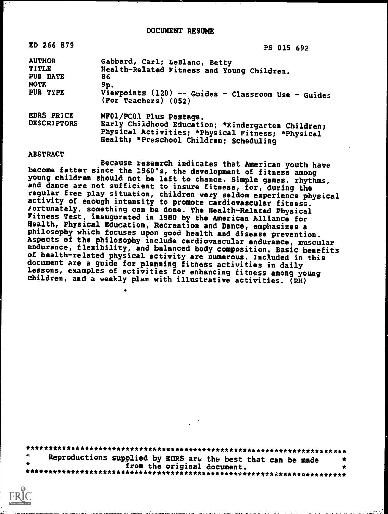| ED 266 879                                                           | PS 015 692                                                                                                                                                                    |
|----------------------------------------------------------------------|-------------------------------------------------------------------------------------------------------------------------------------------------------------------------------|
| <b>AUTHOR</b><br><b>TITLE</b><br>PUB DATE<br><b>NOTE</b><br>PUB TYPE | Gabbard, Carl; LeBlanc, Betty<br>Health-Related Fitness and Young Children.<br>86<br>9p.<br>Viewpoints (120) -- Guides - Classroom Use - Guides<br>(For Teachers) (052)       |
| EDRS PRICE<br><b>DESCRIPTORS</b>                                     | MF01/PC01 Plus Postage.<br>Early Childhood Education; *Kindergarten Children;<br>Physical Activities; *Physical Fitness; *Physical<br>Health; *Preschool Children; Scheduling |

#### ABSTRACT

Because research indicates that American youth have<br>become fatter since the 1960's, the development of fitness among young children should not be left to chance. Simple games, rhythms,<br>and dance are not sufficient to insure fitness, for, during the<br>regular free play situation, children very seldom experience physical activity of enough intensity to promote cardiovascular fitness.<br>fortunately, something can be done. The Health-Related Physical Fitness Test, inaugurated in 1980 by the American Alliance for Health, Physical Education, Recreation and Dance, emphasizes a philosophy which focuses upon good health and disease prevention. Aspects of the philosophy include cardiovascular endurance, muscular endurance, flexibility, and balanced body composition. Basic benefits of health-related physical activity are numerous. Included in this document are a guide for planning fitness activities in daily lessons, examples of activities for enhancing fitness among young children, and a weekly plan with illustrative activities.  $\overline{(R\bar{H})}$ 

\*\*\*\*\*\*\*\*\*\*\*\*\*\*\*\*\*\*\*\*\*\*\*\*\*\*\*\*\*\*\*\*\*\*\*\*\*\*\*\*\*\*\*\*\*\*\*\*\*\*\*\*\*\*\*\*\*\*\*\*\*\*\*\*\*\*\*\*\*\*\* Reproductions supplied by EDRS arcs the best that can be made \* \* from the original document. \* \*\*\*\*\*\*\*\*\*\*\*\*\*\*\*\*\*\*\*\*\*\*\*\*\*\*\*\*\*\*\*\*\*\*\*\*\*\*\*\*\*\*\*\*\*\*\*i.\*\*\*\*\*\*t\*\*\*\*\*\*\*\*\*\*\*\*\*\*\*\*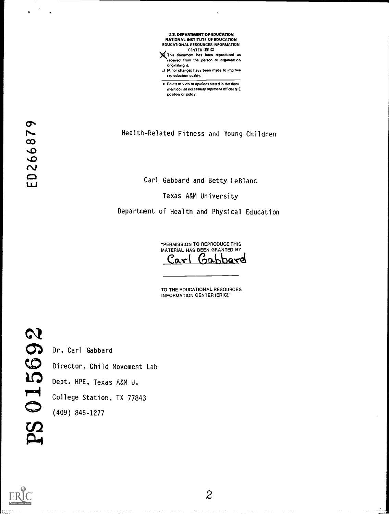U.S. DEPARTMENT OF EDUCATION NATIONAL INSTITUTE OF EDUCATION EDUCATIONAL RESOURCES INFORMATION CENTER IERICI

XThes document has been reproduced as recerved from the person or organization ongeating rt.

CJ Minor changes have been made to improve reproduction quality.

Points of view or opinions stated in this docu ment do not necessarily represent official NIE position or policy.

N. Health-Related Fitness and Young Children

Carl Gabbard and Betty LeBlanc

Texas A&M University

Department of Health and Physical Education

"PERMISSION TO REPRODUCE THIS MATERIAL HAS BEEN GRANTED BY Carl Gabbard

TO THE EDUCATIONAL RESOURCES INFORMATION CENTER (ERIC)."

 $\bullet$  and  $\bullet$  and  $\bullet$ 

 $.66$ 

 $\omega$ 

 $\sim$   $\sim$ 

Director, Child Movement Lab

Dept. HPE, Texas A&M U.

College Station, TX 77843<br>(409) 845-1277

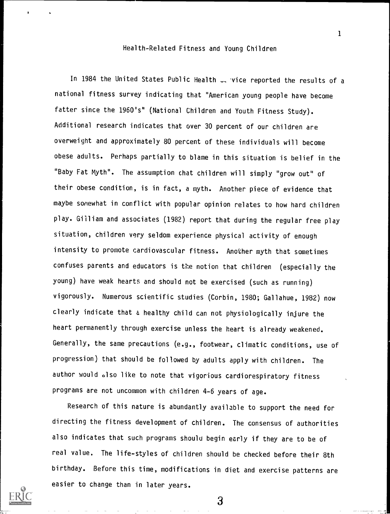### Health-Related Fitness and Young Children

In 1984 the United States Public Health J. vice reported the results of a national fitness survey indicating that "American young people have become fatter since the 1960's" (National Children and Youth Fitness Study). Additional research indicates that over 30 percent of our children are overweight and approximately 80 percent of these individuals will become obese adults. Perhaps partially to blame in this situation is belief in the "Baby Fat Myth". The assumption chat children will simply "grow out" of their obese condition, is in fact, a myth. Another piece of evidence that maybe somewhat in conflict with popular opinion relates to how hard children play. Gilliam and associates (1982) report that during the regular free play situation, children very seldom experience physical activity of enough intensity to promote cardiovascular fitness. Another myth that sometimes confuses parents and educators is the notion that children (especially the young) have weak hearts and should not be exercised (such as running) vigorously. Numerous scientific studies (Corbin, 1980; Gallahue, 1982) now clearly indicate that a healthy child can not physiologically injure the heart permanently through exercise unless the heart is already weakened. Generally, the same precautions (e.g., footwear, climatic conditions, use of progression) that should be followed by adults apply with children. The author would also like to note that vigorious cardiorespiratory fitness programs are not uncommon with children 4-6 years of age.

Research of this nature is abundantly available to support the need for directing the fitness development of children. The consensus of authorities also indicates that such programs should begin early if they are to be of real value. The life-styles of children should be checked before their 8th birthday. Before this time, modifications in diet and exercise patterns are easier to change than in later years.

1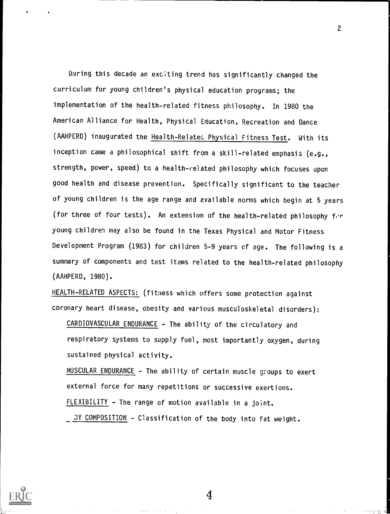During this decade an exciting trend has significantly changed the curriculum for young children's physical education programs; the implementation of the health-related fitness philosophy. In 1980 the American Alliance for Health, Physical Education, Recreation and Dance (AAHPERD) inaugurated the Health-Relates Physical Fitness Test. With its inception came a philosophical shift from a skill-related emphasis (e.g., strength, power, speed) to a health-related philosophy which focuses upon good health and disease prevention. Specifically significant to the teacher of young children is the age range and available norms which begin at 5 years (for three of four tests). An extension of the health-related philosophy for young children may also be found in the Texas Physical and Motor Fitness Development Program (1983) for children 5-9 years of age. The following is a summary of components and test items related to the health-related philosophy (AAHPERD, 1980).

HEALTH-RELATED ASPECTS: (fitness which offers some protection against coronary heart disease, obesity and various musculoskeletal disorders):

CARDIOVASCULAR ENDURANCE - The ability of the circulatory and respiratory systems to supply fuel, most importantly oxygen, during sustained physical activity.

MUSCULAR ENDURANCE - The ability of certain muscle groups to exert external force for many repetitions or successive exertions. FLEXIBILITY - The range of motion available in a joint.

DY COMPOSITION - Classification of the body into fat weight.



2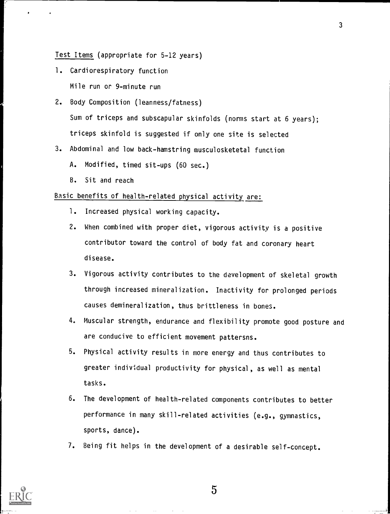# Test Items (appropriate for 5-12 years)

1. Cardiorespiratory function Mile run or 9-minute run

2. Body Composition (leanness/fatness) Sum of triceps and subscapular skinfolds (norms start at 6 years); triceps skinfold is suggested if only one site is selected

- 3. Abdominal and low back-hamstring musculosketetal function
	- A. Modified, timed sit-ups (60 sec.)
	- B. Sit and reach

# Basic benefits of health-related physical activity are:

- 1. Increased physical working capacity.
- 2. When combined with proper diet, vigorous activity is a positive contributor toward the control of body fat and coronary heart disease.
- 3. Vigorous activity contributes to the development of skeletal growth through increased mineralization. Inactivity for prolonged periods causes demineralization, thus brittleness in bones.
- 4. Muscular strength, endurance and flexibility promote good posture and are conducive to efficient movement pattersns.
- 5. Physical activity results in more energy and thus contributes to greater individual productivity for physical, as well as mental tasks.
- 6. The development of health-related components contributes to better performance in many skill-related activities (e.g., gymnastics, sports, dance).
- 7. Being fit helps in the development of a desirable self-concept.



5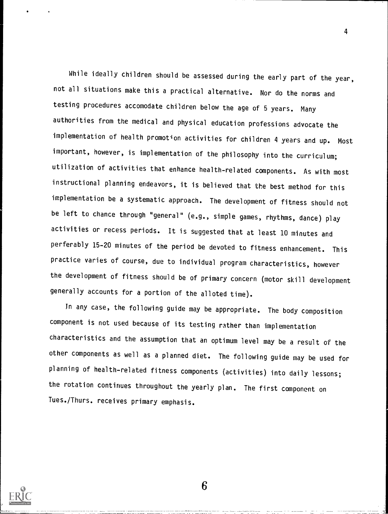While ideally children should be assessed during the early part of the year, not all situations make this a practical alternative. Nor do the norms and testing procedures accomodate children below the age of 5 years. Many authorities from the medical and physical education professions advocate the implementation of health promotion activities for children 4 years and up. Most important, however, is implementation of the philosophy into the curriculum; utilization of activities that enhance health-related components. As with most instructional planning endeavors, it is believed that the best method for this implementation be a systematic approach. The development of fitness should not be left to chance through "general" (e.g., simple games, rhythms, dance) play activities or recess periods. It is suggested that at least 10 minutes and perferably 15-20 minutes of the period be devoted to fitness enhancement. This practice varies of course, due to individual program characteristics, however the development of fitness should be of primary concern (motor skill development generally accounts for a portion of the alloted time).

Jn any case, the following guide may be appropriate. The body composition component is not used because of its testing rather than implementation characteristics and the assumption that an optimum level may be a result of the other components as well as a planned diet. The following guide may be used for planning of health-related fitness components (activities) into daily lessons; the rotation continues throughout the yearly plan. The first component on Tues./Thurs. receives primary emphasis.



4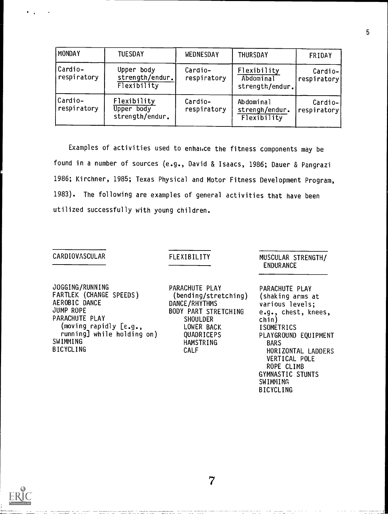| MONDAY                 | <b>TUESDAY</b>                               | WEDNESDAY              | <b>THURSDAY</b>                             | FRIDAY                 |
|------------------------|----------------------------------------------|------------------------|---------------------------------------------|------------------------|
| Cardio-<br>respiratory | Upper body<br>strength/endur.<br>Flexibility | Cardio-<br>respiratory | Flexibility<br>Abdominal<br>strength/endur. | Cardio-<br>respiratory |
| Cardio-<br>respiratory | Flexibility<br>Upper body<br>strength/endur. | Cardio-<br>respiratory | Abdominal<br>strengh/endur.<br>Flexibility  | Cardio-<br>respiratory |

Examples of activities used to enhance the fitness components may be found in a number of sources (e.g., David & Isaacs, 1986; Dauer & Pangrazi 1986; Kirchner, 1985; Texas Physical and Motor Fitness Development Program, 1983). The following are examples of general activities that have been utilized successfully with young children.

## CARDIOVASCULAR

### FLEXIBILITY

JOGGING/RUNNING FARTLEK (CHANGE SPEEDS) AEROBIC DANCE JUMP ROPE PARACHUTE PLAY (moving rapidly [e.g., running] while holding on) SWIMMING BICYCLING

PARACHUTE PLAY (bending/stretching) DANCE/RHYTHMS BODY PART STRETCHING **SHOULDER** LOWER BACK QUADRICEPS HAMSTRING CALF

7

MUSCULAR STRENGTH/ ENDURANCE

PARACHUTE PLAY (shaking arms at various levels; e.g., chest, knees, chin) ISOMETRICS PLAYGROUND EQUIPMENT BARS HORIZONTAL LADDERS VERTICAL POLE ROPE CLIMB GYMNASTIC STUNTS SWIMMING BICYCLING

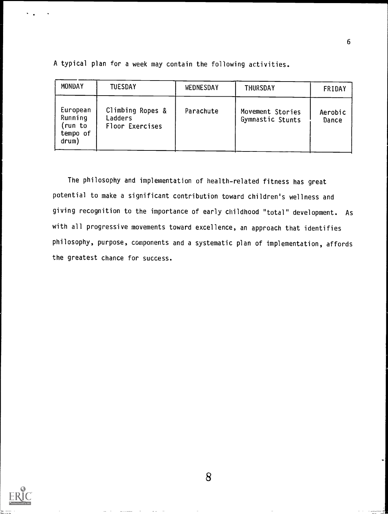| MONDAY                                              | <b>TUESDAY</b>                                 | WEDNESDAY | <b>THURSDAY</b>                      | FRIDAY           |
|-----------------------------------------------------|------------------------------------------------|-----------|--------------------------------------|------------------|
| European<br>Running<br>(run to<br>tempo of<br>drum) | Climbing Ropes &<br>Ladders<br>Floor Exercises | Parachute | Movement Stories<br>Gymnastic Stunts | Aerobic<br>Dance |

A typical plan for a week may contain the following activities.

The philosophy and implementation of health-related fitness has great potential to make a significant contribution toward children's wellness and giving recognition to the importance of early childhood "total" development. As with all progressive movements toward excellence, an approach that identifies philosophy, purpose, components and a systematic plan of implementation, affords the greatest chance for success.



6